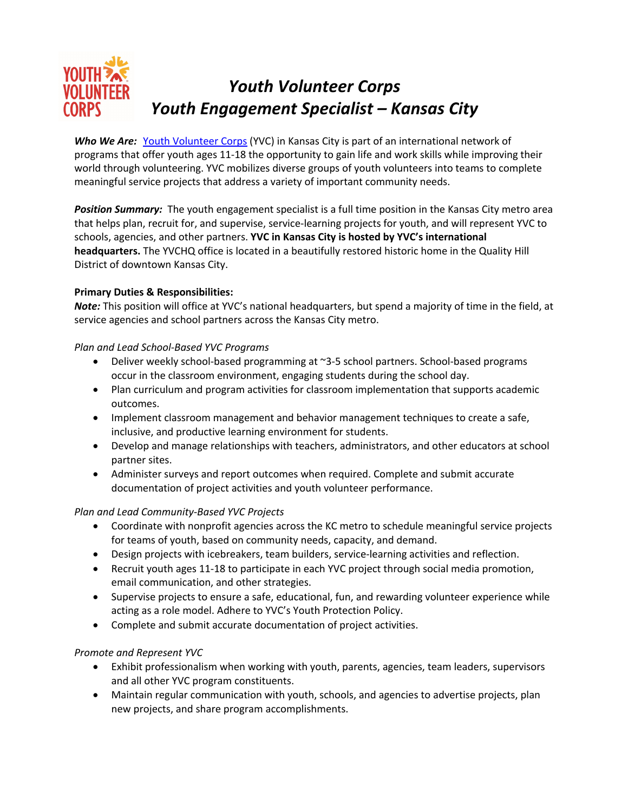

**Who We Are:** Youth Volunteer Corps (YVC) in Kansas City is part of an international network of programs that offer youth ages 11-18 the opportunity to gain life and work skills while improving their world through volunteering. YVC mobilizes diverse groups of youth volunteers into teams to complete meaningful service projects that address a variety of important community needs.

*Position Summary:* The youth engagement specialist is a full time position in the Kansas City metro area that helps plan, recruit for, and supervise, service-learning projects for youth, and will represent YVC to schools, agencies, and other partners. **YVC in Kansas City is hosted by YVC's international headquarters.** The YVCHQ office is located in a beautifully restored historic home in the Quality Hill District of downtown Kansas City.

# **Primary Duties & Responsibilities:**

*Note:* This position will office at YVC's national headquarters, but spend a majority of time in the field, at service agencies and school partners across the Kansas City metro.

# *Plan and Lead School-Based YVC Programs*

- Deliver weekly school-based programming at ~3-5 school partners. School-based programs occur in the classroom environment, engaging students during the school day.
- Plan curriculum and program activities for classroom implementation that supports academic outcomes.
- Implement classroom management and behavior management techniques to create a safe, inclusive, and productive learning environment for students.
- Develop and manage relationships with teachers, administrators, and other educators at school partner sites.
- Administer surveys and report outcomes when required. Complete and submit accurate documentation of project activities and youth volunteer performance.

## *Plan and Lead Community-Based YVC Projects*

- Coordinate with nonprofit agencies across the KC metro to schedule meaningful service projects for teams of youth, based on community needs, capacity, and demand.
- Design projects with icebreakers, team builders, service-learning activities and reflection.
- Recruit youth ages 11-18 to participate in each YVC project through social media promotion, email communication, and other strategies.
- Supervise projects to ensure a safe, educational, fun, and rewarding volunteer experience while acting as a role model. Adhere to YVC's Youth Protection Policy.
- Complete and submit accurate documentation of project activities.

# *Promote and Represent YVC*

- Exhibit professionalism when working with youth, parents, agencies, team leaders, supervisors and all other YVC program constituents.
- Maintain regular communication with youth, schools, and agencies to advertise projects, plan new projects, and share program accomplishments.